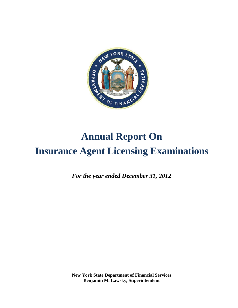

# **Annual Report On Insurance Agent Licensing Examinations**

*, For the year ended December 31, 2012*

**New York State Department of Financial Services Benjamin M. Lawsky, Superintendent**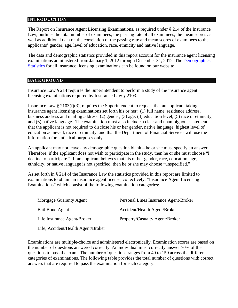#### **INTRODUCTION**

The Report on Insurance Agent Licensing Examinations, as required under § 214 of the Insurance Law, outlines the total number of examinees, the passing rate of all examinees, the mean scores as well as additional data on the correlation of the passing rate and mean scores of examinees to the applicants' gender, age, level of education, race, ethnicity and native language.

The data and demographic statistics provided in this report account for the insurance agent licensing examinations administered from January 1, 2012 through December 31, 2012. The Demographics Statistics for all insurance licensing examinations can be found on our website.

#### **BACKGROUND**

Insurance Law § 214 requires the Superintendent to perform a study of the insurance agent licensing examinations required by Insurance Law § 2103.

Insurance Law § 2103(f)(3), requires the Superintendent to request that an applicant taking insurance agent licensing examinations set forth his or her: (1) full name, residence address, business address and mailing address; (2) gender; (3) age; (4) education level; (5) race or ethnicity; and (6) native language. The examination must also include a clear and unambiguous statement that the applicant is not required to disclose his or her gender, native language, highest level of education achieved, race or ethnicity, and that the Department of Financial Services will use the information for statistical purposes only.

An applicant may not leave any demographic question blank – he or she must specify an answer. Therefore, if the applicant does not wish to participate in the study, then he or she must choose "I decline to participate." If an applicant believes that his or her gender, race, education, age, ethnicity, or native language is not specified, then he or she may choose "unspecified."

As set forth in § 214 of the Insurance Law the statistics provided in this report are limited to examinations to obtain an insurance agent license, collectively, "Insurance Agent Licensing Examinations" which consist of the following examination categories:

| Mortgage Guaranty Agent            | Personal Lines Insurance Agent/Broker |
|------------------------------------|---------------------------------------|
| Bail Bond Agent                    | Accident/Health Agent/Broker          |
| Life Insurance Agent/Broker        | Property/Casualty Agent/Broker        |
| Life, Accident/Health Agent/Broker |                                       |

Examinations are multiple-choice and administered electronically. Examination scores are based on the number of questions answered correctly. An individual must correctly answer 70% of the questions to pass the exam. The number of questions ranges from 40 to 150 across the different categories of examinations. The following table provides the total number of questions with correct answers that are required to pass the examination for each category.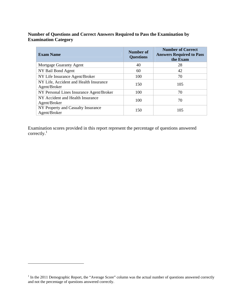# **Number of Questions and Correct Answers Required to Pass the Examination by Examination Category**

| <b>Exam Name</b>                                       | Number of<br><b>Questions</b> | <b>Number of Correct</b><br><b>Answers Required to Pass</b><br>the Exam |
|--------------------------------------------------------|-------------------------------|-------------------------------------------------------------------------|
| Mortgage Guaranty Agent                                | 40                            | 28                                                                      |
| NY Bail Bond Agent                                     | 60                            | 42                                                                      |
| NY Life Insurance Agent/Broker                         | 100                           | 70                                                                      |
| NY Life, Accident and Health Insurance<br>Agent/Broker | 150                           | 105                                                                     |
| NY Personal Lines Insurance Agent/Broker               | 100                           | 70                                                                      |
| NY Accident and Health Insurance<br>Agent/Broker       | 100                           | 70                                                                      |
| NY Property and Casualty Insurance<br>Agent/Broker     | 150                           | 105                                                                     |

Examination scores provided in this report represent the percentage of questions answered correctly.<sup>1</sup>

 $\overline{a}$ 

  $1$  In the 2011 Demographic Report, the "Average Score" column was the actual number of questions answered correctly and not the percentage of questions answered correctly.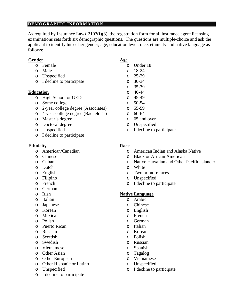# **DEMOGRAPHIC INFORMATION**

As required by Insurance Law§ 2103(f)(3), the registration form for all insurance agent licensing examinations sets forth six demographic questions. The questions are multiple-choice and ask the applicant to identify his or her gender, age, education level, race, ethnicity and native language as follows:

#### Gender Age

- o Female o Under 18
- o Male o 18-24
- o Unspecified o 25-29
- o I decline to participate o 30-34

#### **Education** o 40-44

- o High School or GED o 45-49
- o Some college o 50-54
- o 2-year college degree (Associates) o 55-59
- o 4-year college degree (Bachelor's) o 60-64
- o Master's degree o 65 and over
- o Doctoral degree o Unspecified
- 
- o I decline to participate

#### **Ethnicity Race**

- 
- 
- 
- o Dutch o White
- 
- 
- 
- o German
- 
- o Italian o Arabic
- o Japanese o Chinese
- 
- 
- 
- o Puerto Rican o Italian
- o Russian o Korean
- o Scottish o Polish
- o Swedish o Russian
- o Vietnamese o Spanish
- o Other Asian o Tagalog
- o Other European o Vietnamese
- o Other Hispanic or Latino o Unspecified
- 
- o I decline to participate
- -
	-
	-
	-
	-
	-
	-
	-
	-
	-
	-
	-
- o Unspecified o I decline to participate

- o American/Canadian o American Indian and Alaska Native
- o Chinese o Black or African American
- o Cuban o Native Hawaiian and Other Pacific Islander
	-
- o English o Two or more races
- o Filipino o Unspecified
- o French o I decline to participate

# o Irish **Native Language**

- 
- 
- o Korean o English
- o Mexican o French
- o Polish o German
	-
	-
	-
	-
	-
	-
	-
	-
- o Unspecified o I decline to participate
- -
	- o 35-39
	-
	-
	-
	-
	-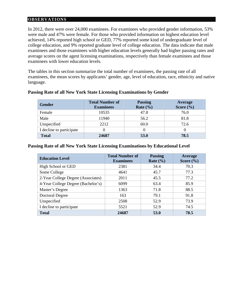#### **OBSERVATIONS**

In 2012, there were over 24,000 examinees. For examinees who provided gender information, 53% were male and 47% were female. For those who provided information on highest education level achieved, 14% reported high school or GED, 77% reported some kind of undergraduate level of college education, and 9% reported graduate level of college education. The data indicate that male examinees and those examinees with higher education levels generally had higher passing rates and average scores on the agent licensing examinations, respectively than female examinees and those examinees with lower education levels.

The tables in this section summarize the total number of examinees, the passing rate of all examinees, the mean scores by applicants' gender, age, level of education, race, ethnicity and native language.

| <b>Gender</b>            | <b>Total Number of</b><br><b>Examinees</b> | <b>Passing</b><br>Rate $(\% )$ | Average<br>Score $(\% )$ |
|--------------------------|--------------------------------------------|--------------------------------|--------------------------|
| Female                   | 10535                                      | 47.8                           | 76.0                     |
| Male                     | 11940                                      | 56.2                           | 81.8                     |
| Unspecified              | 2212                                       | 60.0                           | 72.6                     |
| I decline to participate |                                            |                                |                          |
| <b>Total</b>             | 24687                                      | 53.0                           | 78.5                     |

### **Passing Rate of all New York State Licensing Examinations by Gender**

#### **Passing Rate of all New York State Licensing Examinations by Educational Level**

| <b>Education Level</b>             | <b>Total Number of</b><br><b>Examinees</b> | <b>Passing</b><br>Rate $(\% )$ | <b>Average</b><br>Score $(\% )$ |
|------------------------------------|--------------------------------------------|--------------------------------|---------------------------------|
| High School or GED                 | 2381                                       | 34.4                           | 70.3                            |
| Some College                       | 4641                                       | 45.7                           | 77.3                            |
| 2-Year College Degree (Associates) | 2011                                       | 45.5                           | 77.2                            |
| 4-Year College Degree (Bachelor's) | 6099                                       | 63.4                           | 85.9                            |
| Master's Degree                    | 1363                                       | 71.8                           | 88.5                            |
| Doctoral Degree                    | 163                                        | 79.1                           | 91.8                            |
| Unspecified                        | 2508                                       | 52.9                           | 73.9                            |
| I decline to participate           | 5521                                       | 52.9                           | 74.5                            |
| Total                              | 24687                                      | 53.0                           | 78.5                            |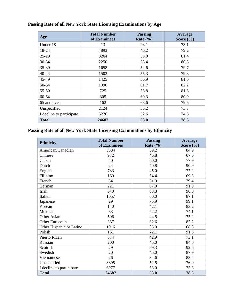| Age                      | <b>Total Number</b><br>of Examinees | <b>Passing</b><br>Rate $(\% )$ | Average<br>Score $(\% )$ |
|--------------------------|-------------------------------------|--------------------------------|--------------------------|
| Under 18                 | 13                                  | 23.1                           | 73.1                     |
| 18-24                    | 4893                                | 46.2                           | 79.2                     |
| $25-29$                  | 3264                                | 53.0                           | 81.4                     |
| $30 - 34$                | 2250                                | 53.4                           | 80.5                     |
| 35-39                    | 1658                                | 54.6                           | 79.7                     |
| $40 - 44$                | 1502                                | 55.3                           | 79.8                     |
| 45-49                    | 1425                                | 56.9                           | 81.0                     |
| 50-54                    | 1090                                | 61.7                           | 82.2                     |
| 55-59                    | 725                                 | 58.8                           | 81.3                     |
| 60-64                    | 305                                 | 60.3                           | 80.9                     |
| 65 and over              | 162                                 | 63.6                           | 79.6                     |
| Unspecified              | 2124                                | 55.2                           | 73.3                     |
| I decline to participate | 5276                                | 52.6                           | 74.5                     |
| Total                    | 24687                               | 53.0                           | 78.5                     |

# **Passing Rate of all New York State Licensing Examinations by Age**

# **Passing Rate of all New York State Licensing Examinations by Ethnicity**

| <b>Ethnicity</b>         | <b>Total Number</b><br>of Examinees | <b>Passing</b><br>Rate $(\% )$ | Average<br>Score $(\% )$ |
|--------------------------|-------------------------------------|--------------------------------|--------------------------|
| American/Canadian        | 5884                                | 59.2                           | 84.9                     |
| Chinese                  | 972                                 | 46.8                           | 67.6                     |
| Cuban                    | 40                                  | 60.0                           | 77.9                     |
| Dutch                    | 24                                  | 70.8                           | 90.9                     |
| English                  | 733                                 | 45.0                           | 77.2                     |
| Filipino                 | 169                                 | 54.4                           | 69.3                     |
| French                   | 54                                  | 51.9                           | 79.4                     |
| German                   | 221                                 | 67.0                           | 91.9                     |
| Irish                    | 640                                 | 63.3                           | 90.0                     |
| Italian                  | 1057                                | 60.0                           | 87.1                     |
| Japanese                 | 29                                  | 75.9                           | 99.1                     |
| Korean                   | 140                                 | 42.1                           | 83.2                     |
| Mexican                  | 83                                  | 42.2                           | 74.1                     |
| Other Asian              | 506                                 | 44.5                           | 75.2                     |
| Other European           | 337                                 | 62.6                           | 87.2                     |
| Other Hispanic or Latino | 1916                                | 35.0                           | 68.8                     |
| Polish                   | 161                                 | 72.1                           | 91.6                     |
| <b>Puerto Rican</b>      | 574                                 | 42.9                           | 73.1                     |
| Russian                  | 200                                 | 45.0                           | 84.0                     |
| Scottish                 | 29                                  | 79.3                           | 92.6                     |
| Swedish                  | 20                                  | 45.0                           | 87.9                     |
| Vietnamese               | 26                                  | 34.6                           | 83.4                     |
| Unspecified              | 3895                                | 52.5                           | 76.0                     |
| I decline to participate | 6977                                | 53.0                           | 75.8                     |
| <b>Total</b>             | 24687                               | 53.0                           | 78.5                     |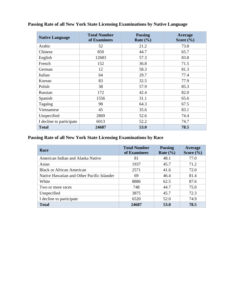| <b>Native Language</b>   | <b>Total Number</b><br>of Examinees | <b>Passing</b><br>Rate $(\% )$ | <b>Average</b><br>Score $(\% )$ |
|--------------------------|-------------------------------------|--------------------------------|---------------------------------|
| Arabic                   | 52                                  | 21.2                           | 73.8                            |
| Chinese                  | 850                                 | 44.7                           | 65.7                            |
| English                  | 12683                               | 57.3                           | 83.8                            |
| French                   | 152                                 | 36.8                           | 71.5                            |
| German                   | 12                                  | 58.3                           | 81.3                            |
| Italian                  | 64                                  | 29.7                           | 77.4                            |
| Korean                   | 83                                  | 32.5                           | 77.9                            |
| Polish                   | 38                                  | 57.9                           | 85.3                            |
| Russian                  | 172                                 | 42.4                           | 82.0                            |
| Spanish                  | 1556                                | 31.1                           | 65.6                            |
| Tagalog                  | 98                                  | 64.3                           | 67.5                            |
| Vietnamese               | 45                                  | 35.6                           | 83.1                            |
| Unspecified              | 2869                                | 52.6                           | 74.4                            |
| I decline to participate | 6013                                | 52.2                           | 74.7                            |
| <b>Total</b>             | 24687                               | 53.0                           | 78.5                            |

# **Passing Rate of all New York State Licensing Examinations by Native Language**

# **Passing Rate of all New York State Licensing Examinations by Race**

| <b>Race</b>                                | <b>Total Number</b><br>of Examinees | <b>Passing</b><br>Rate $(\% )$ | Average<br>Score $(\% )$ |
|--------------------------------------------|-------------------------------------|--------------------------------|--------------------------|
| American Indian and Alaska Native          | 81                                  | 48.1                           | 77.0                     |
| Asian                                      | 1937                                | 45.7                           | 71.2                     |
| <b>Black or African American</b>           | 2571                                | 41.6                           | 72.0                     |
| Native Hawaiian and Other Pacific Islander | 69                                  | 46.4                           | 81.4                     |
| White                                      | 8886                                | 62.5                           | 87.6                     |
| Two or more races                          | 748                                 | 44.7                           | 75.0                     |
| Unspecified                                | 3875                                | 45.7                           | 72.3                     |
| I decline to participate                   | 6520                                | 52.0                           | 74.9                     |
| Total                                      | 24687                               | 53.0                           | 78.5                     |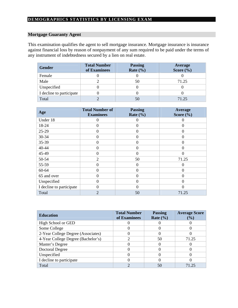### **Mortgage Guaranty Agent**

This examination qualifies the agent to sell mortgage insurance. Mortgage insurance is insurance against financial loss by reason of nonpayment of any sum required to be paid under the terms of any instrument of indebtedness secured by a lien on real estate.

| <b>Gender</b>            | <b>Total Number</b><br>of Examinees | <b>Passing</b><br>Rate $(\% )$ | Average<br>Score $(\% )$ |
|--------------------------|-------------------------------------|--------------------------------|--------------------------|
| Female                   |                                     |                                |                          |
| Male                     |                                     | 50                             | 71.25                    |
| Unspecified              |                                     |                                |                          |
| I decline to participate |                                     |                                |                          |
| Total                    |                                     | 50                             | 71.25                    |

| Age                      | <b>Total Number of</b><br><b>Examinees</b> | <b>Passing</b><br>Rate $(\% )$ | Average<br>Score $(\frac{6}{6})$ |
|--------------------------|--------------------------------------------|--------------------------------|----------------------------------|
| Under 18                 |                                            | $\theta$                       | $\Omega$                         |
| 18-24                    | 0                                          | $\theta$                       | $\Omega$                         |
| 25-29                    | 0                                          | $\theta$                       | $\theta$                         |
| $30 - 34$                |                                            | $\Omega$                       | $\Omega$                         |
| 35-39                    |                                            | $\Omega$                       | $\Omega$                         |
| 40-44                    | 0                                          | $\Omega$                       | $\Omega$                         |
| 45-49                    | 0                                          | $\Omega$                       | $\Omega$                         |
| 50-54                    | 2                                          | 50                             | 71.25                            |
| 55-59                    | 0                                          | $\Omega$                       | $\Omega$                         |
| 60-64                    | 0                                          | $\theta$                       | $\Omega$                         |
| 65 and over              | 0                                          | $\Omega$                       | $\Omega$                         |
| Unspecified              | 0                                          | $\Omega$                       | $\Omega$                         |
| I decline to participate | 0                                          | $\theta$                       | 0                                |
| Total                    | $\overline{2}$                             | 50                             | 71.25                            |

| <b>Education</b>                   | <b>Total Number</b><br>of Examinees | <b>Passing</b><br>Rate $(\% )$ | <b>Average Score</b><br>(%) |
|------------------------------------|-------------------------------------|--------------------------------|-----------------------------|
| High School or GED                 |                                     |                                |                             |
| Some College                       |                                     |                                |                             |
| 2-Year College Degree (Associates) |                                     |                                |                             |
| 4-Year College Degree (Bachelor's) |                                     | 50                             | 71.25                       |
| Master's Degree                    |                                     |                                |                             |
| <b>Doctoral Degree</b>             |                                     |                                |                             |
| Unspecified                        |                                     |                                |                             |
| I decline to participate           |                                     |                                |                             |
| Total                              |                                     | 50                             | 71 25                       |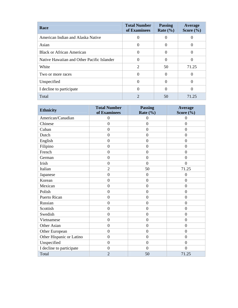| <b>Race</b>                                | <b>Total Number</b><br>of Examinees | <b>Passing</b><br>Rate $(\% )$ | <b>Average</b><br>Score $(\% )$ |
|--------------------------------------------|-------------------------------------|--------------------------------|---------------------------------|
| American Indian and Alaska Native          |                                     |                                |                                 |
| Asian                                      | 0                                   |                                |                                 |
| <b>Black or African American</b>           | $\Omega$                            |                                |                                 |
| Native Hawaiian and Other Pacific Islander | $\Omega$                            |                                |                                 |
| White                                      | $\overline{2}$                      | 50                             | 71.25                           |
| Two or more races                          | $\left($                            |                                |                                 |
| Unspecified                                | $\left( \right)$                    |                                | 0                               |
| I decline to participate                   | 0                                   |                                |                                 |
| Total                                      | $\mathfrak{D}$                      | 50                             | 71.25                           |

| <b>Ethnicity</b>         | <b>Total Number</b><br>of Examinees | <b>Passing</b><br>Rate $(\% )$ | <b>Average</b><br>Score $(\% )$ |
|--------------------------|-------------------------------------|--------------------------------|---------------------------------|
| American/Canadian        | $\overline{0}$                      | $\overline{0}$                 | $\overline{0}$                  |
| Chinese                  | $\overline{0}$                      | $\mathbf{0}$                   | $\overline{0}$                  |
| Cuban                    | $\overline{0}$                      | $\mathbf{0}$                   | $\mathbf{0}$                    |
| Dutch                    | $\overline{0}$                      | $\mathbf{0}$                   | $\mathbf{0}$                    |
| English                  | $\overline{0}$                      | $\overline{0}$                 | $\mathbf{0}$                    |
| Filipino                 | $\overline{0}$                      | $\theta$                       | $\boldsymbol{0}$                |
| French                   | $\mathbf{0}$                        | $\overline{0}$                 | $\overline{0}$                  |
| German                   | $\overline{0}$                      | $\overline{0}$                 | $\overline{0}$                  |
| Irish                    | $\overline{0}$                      | $\overline{0}$                 | $\overline{0}$                  |
| Italian                  | $\overline{2}$                      | 50                             | 71.25                           |
| Japanese                 | $\overline{0}$                      | $\mathbf{0}$                   | $\overline{0}$                  |
| Korean                   | $\boldsymbol{0}$                    | $\mathbf{0}$                   | $\boldsymbol{0}$                |
| Mexican                  | $\overline{0}$                      | $\mathbf{0}$                   | $\overline{0}$                  |
| Polish                   | $\overline{0}$                      | $\overline{0}$                 | $\mathbf{0}$                    |
| Puerto Rican             | $\overline{0}$                      | $\overline{0}$                 | $\overline{0}$                  |
| Russian                  | $\overline{0}$                      | $\theta$                       | $\mathbf{0}$                    |
| Scottish                 | $\mathbf{0}$                        | $\overline{0}$                 | $\mathbf{0}$                    |
| Swedish                  | $\overline{0}$                      | $\overline{0}$                 | $\boldsymbol{0}$                |
| Vietnamese               | $\overline{0}$                      | $\mathbf{0}$                   | $\boldsymbol{0}$                |
| Other Asian              | $\overline{0}$                      | $\overline{0}$                 | $\boldsymbol{0}$                |
| Other European           | $\overline{0}$                      | $\mathbf{0}$                   | $\overline{0}$                  |
| Other Hispanic or Latino | $\boldsymbol{0}$                    | $\overline{0}$                 | $\boldsymbol{0}$                |
| Unspecified              | $\overline{0}$                      | $\mathbf{0}$                   | $\mathbf{0}$                    |
| I decline to participate | $\overline{0}$                      | $\theta$                       | $\overline{0}$                  |
| Total                    | $\overline{2}$                      | 50                             | 71.25                           |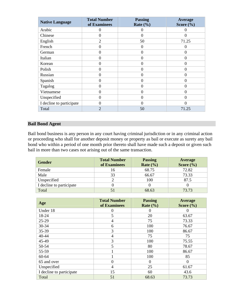| <b>Native Language</b>   | <b>Total Number</b><br>of Examinees | <b>Passing</b><br>Rate $(\% )$ | Average<br>Score $(\% )$ |
|--------------------------|-------------------------------------|--------------------------------|--------------------------|
| Arabic                   | $\Omega$                            | $\theta$                       | $\mathbf{\Omega}$        |
| Chinese                  | 0                                   | 0                              | $\Omega$                 |
| English                  | $\overline{2}$                      | 50                             | 71.25                    |
| French                   | $\Omega$                            | $\theta$                       | 0                        |
| German                   | $\Omega$                            | $\Omega$                       | $\Omega$                 |
| Italian                  | $\Omega$                            | $\Omega$                       | $\Omega$                 |
| Korean                   | $\Omega$                            | $\theta$                       | $\Omega$                 |
| Polish                   | $\Omega$                            | $\theta$                       | $\Omega$                 |
| Russian                  | $\Omega$                            | $\theta$                       | $\Omega$                 |
| Spanish                  | $\Omega$                            | $\Omega$                       | $\Omega$                 |
| Tagalog                  | $\Omega$                            | $\theta$                       | 0                        |
| Vietnamese               | $\theta$                            | $\overline{0}$                 | $\overline{0}$           |
| Unspecified              | $\Omega$                            | $\theta$                       | $\Omega$                 |
| I decline to participate | 0                                   | $\theta$                       | 0                        |
| Total                    | $\overline{2}$                      | 50                             | 71.25                    |

# **Bail Bond Agent**

Bail bond business is any person in any court having criminal jurisdiction or in any criminal action or proceeding who shall for another deposit money or property as bail or execute as surety any bail bond who within a period of one month prior thereto shall have made such a deposit or given such bail in more than two cases not arising out of the same transaction.

| Gender                   | <b>Total Number</b><br>of Examinees | <b>Passing</b><br>Rate $(\frac{9}{6})$ | Average<br>Score $(\frac{6}{6})$ |
|--------------------------|-------------------------------------|----------------------------------------|----------------------------------|
| Female                   | 16                                  | 68.75                                  | 72.82                            |
| Male                     | 33                                  | 66.67                                  | 73.33                            |
| Unspecified              |                                     | 100                                    | 87.5                             |
| I decline to participate |                                     |                                        |                                  |
| Total                    |                                     | 68.63                                  | 73.73                            |

| Age                      | <b>Total Number</b><br>of Examinees | <b>Passing</b><br>Rate $(\% )$ | Average<br>Score $(\% )$ |
|--------------------------|-------------------------------------|--------------------------------|--------------------------|
| Under 18                 | 0                                   | 0                              | $\Omega$                 |
| 18-24                    | 5                                   | 20                             | 63.67                    |
| $25-29$                  | $\overline{4}$                      | 75                             | 73.33                    |
| 30-34                    | 6                                   | 100                            | 76.67                    |
| 35-39                    | 3                                   | 100                            | 86.67                    |
| $40 - 44$                | 4                                   | 75                             | 75                       |
| 45-49                    | 3                                   | 100                            | 75.55                    |
| 50-54                    | 5                                   | 80                             | 78.67                    |
| 55-59                    |                                     | 100                            | 86.67                    |
| 60-64                    |                                     | 100                            | 85                       |
| 65 and over              | 0                                   | $\Omega$                       | $\theta$                 |
| Unspecified              | 4                                   | 25                             | 61.67                    |
| I decline to participate | 15                                  | 60                             | 43.6                     |
| Total                    | 51                                  | 68.63                          | 73.73                    |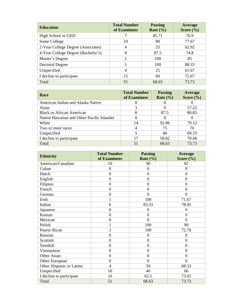| <b>Education</b>                   | <b>Total Number</b><br>of Examinees | <b>Passing</b><br>Rate $(\% )$ | <b>Average</b><br>Score $(\% )$ |
|------------------------------------|-------------------------------------|--------------------------------|---------------------------------|
| High School or GED                 |                                     | 85.71                          | 76.9                            |
| Some College                       | 10                                  | 80                             | 77.67                           |
| 2-Year College Degree (Associates) | 4                                   | 25                             | 62.92                           |
| 4-Year College Degree (Bachelor's) | 8                                   | 87.5                           | 74.8                            |
| Master's Degree                    | $\mathcal{D}_{\mathcal{L}}$         | 100                            | 85                              |
| Doctoral Degree                    |                                     | 100                            | 88.33                           |
| Unspecified                        | 4                                   | 25                             | 61.67                           |
| I decline to participate           | 15                                  | 60                             | 72.67                           |
| Total                              | 51                                  | 68.63                          | 73.73                           |

| <b>Race</b>                                | <b>Total Number</b><br>of Examinees | <b>Passing</b><br>Rate $(\% )$ | Average<br>Score $(\% )$ |
|--------------------------------------------|-------------------------------------|--------------------------------|--------------------------|
| American Indian and Alaska Native          |                                     |                                |                          |
| Asian                                      |                                     |                                | 57.22                    |
| <b>Black or African American</b>           | 8                                   | 87.5                           | 80.83                    |
| Native Hawaiian and Other Pacific Islander |                                     | 0                              | 0                        |
| White                                      | 14                                  | 92.86                          | 79.52                    |
| Two or more races                          |                                     | 75                             | 70                       |
| Unspecified                                | 5                                   | 40                             | 69.33                    |
| I decline to participate                   | 17                                  | 58.82                          | 70.68                    |
| Total                                      | 51                                  | 68.63                          | 73.73                    |

| <b>Ethnicity</b>         | <b>Total Number</b><br>of Examinees | <b>Passing</b><br>Rate $(\% )$ | <b>Average</b><br>Score $(\% )$ |
|--------------------------|-------------------------------------|--------------------------------|---------------------------------|
| American/Canadian        | 10                                  | 90                             | 82                              |
| Cuban                    | $\overline{0}$                      | $\overline{0}$                 | $\overline{0}$                  |
| Dutch                    | $\overline{0}$                      | $\overline{0}$                 | $\overline{0}$                  |
| English                  | $\boldsymbol{0}$                    | $\overline{0}$                 | $\mathbf{0}$                    |
| Filipino                 | $\overline{0}$                      | $\overline{0}$                 | $\mathbf{0}$                    |
| French                   | $\overline{0}$                      | $\overline{0}$                 | $\mathbf{0}$                    |
| German                   | $\boldsymbol{0}$                    | $\overline{0}$                 | $\overline{0}$                  |
| Irish                    | $\mathbf 1$                         | 100                            | 71.67                           |
| Italian                  | 6                                   | 83.33                          | 78.05                           |
| Japanese                 | $\overline{0}$                      | $\overline{0}$                 | $\overline{0}$                  |
| Korean                   | $\overline{0}$                      | $\overline{0}$                 | $\boldsymbol{0}$                |
| Mexican                  | $\overline{0}$                      | $\theta$                       | $\theta$                        |
| Polish                   | $\mathbf{1}$                        | 100                            | 90                              |
| <b>Puerto Rican</b>      | $\overline{3}$                      | 100                            | 72.78                           |
| Russian                  | $\overline{0}$                      | $\boldsymbol{0}$               | 0                               |
| Scottish                 | $\overline{0}$                      | $\overline{0}$                 | $\overline{0}$                  |
| Swedish                  | $\overline{0}$                      | $\overline{0}$                 | $\overline{0}$                  |
| Vietnamese               | $\overline{0}$                      | $\overline{0}$                 | $\overline{0}$                  |
| Other Asian              | $\boldsymbol{0}$                    | $\overline{0}$                 | $\overline{0}$                  |
| Other European           | $\overline{0}$                      | $\overline{0}$                 | $\overline{0}$                  |
| Other Hispanic or Latino | $\overline{4}$                      | 50                             | 68.33                           |
| Unspecified              | 10                                  | 40                             | 66                              |
| I decline to participate | 16                                  | 62.5                           | 73.02                           |
| Total                    | 51                                  | 68.63                          | 73.73                           |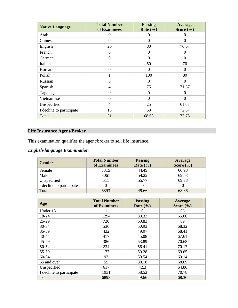| <b>Native Language</b>   | <b>Total Number</b><br>of Examinees | <b>Passing</b><br>Rate $(\% )$ | Average<br>Score $(\% )$ |
|--------------------------|-------------------------------------|--------------------------------|--------------------------|
| Arabic                   | 0                                   | $\Omega$                       | 0                        |
| Chinese                  | $\Omega$                            | $\Omega$                       | $\Omega$                 |
| English                  | 25                                  | 80                             | 76.67                    |
| French                   | $\boldsymbol{0}$                    | $\Omega$                       | $\Omega$                 |
| German                   | $\boldsymbol{0}$                    | $\Omega$                       | $\Omega$                 |
| Italian                  | $\overline{2}$                      | 50                             | 70                       |
| Korean                   | $\boldsymbol{0}$                    | $\Omega$                       | $\Omega$                 |
| Polish                   |                                     | 100                            | 80                       |
| Russian                  | $\overline{0}$                      | $\Omega$                       | $\Omega$                 |
| Spanish                  | 4                                   | 75                             | 71.67                    |
| Tagalog                  | $\theta$                            | $\Omega$                       | $\Omega$                 |
| Vietnamese               | $\overline{0}$                      | $\Omega$                       | $\Omega$                 |
| Unspecified              | 4                                   | 25                             | 61.67                    |
| I decline to participate | 15                                  | 60                             | 72.67                    |
| Total                    | 51                                  | 68.63                          | 73.73                    |

# **Life Insurance Agent/Broker**

This examination qualifies the agent/broker to sell life insurance.

# *English-language Examination*

| Gender                   | <b>Total Number</b><br>of Examinees | <b>Passing</b><br>Rate $(\% )$ | Average<br>Score $(\% )$ |
|--------------------------|-------------------------------------|--------------------------------|--------------------------|
| Female                   | 3315                                | 44.49                          | 66.98                    |
| Male                     | 3067                                | 54.22                          | 69.68                    |
| Unspecified              | 511                                 | 55.77                          | 69.38                    |
| I decline to participate |                                     |                                |                          |
| Total                    | 6893                                | 49.66                          | 68.36                    |

| Age                      | <b>Total Number</b><br>of Examinees | <b>Passing</b><br>Rate $(\% )$ | Average<br>Score $(\% )$ |
|--------------------------|-------------------------------------|--------------------------------|--------------------------|
| Under 18                 |                                     | $\theta$                       | 65                       |
| 18-24                    | 1294                                | 38.33                          | 65.06                    |
| $25-29$                  | 720                                 | 50.83                          | 69                       |
| 30-34                    | 536                                 | 50.93                          | 68.32                    |
| 35-39                    | 432                                 | 49.07                          | 68.41                    |
| 40-44                    | 417                                 | 45.08                          | 67.61                    |
| 45-49                    | 386                                 | 53.89                          | 70.68                    |
| 50-54                    | 234                                 | 56.41                          | 70.17                    |
| 55-59                    | 177                                 | 50.28                          | 69.65                    |
| 60-64                    | 93                                  | 50.54                          | 69.14                    |
| 65 and over              | 55                                  | 38.18                          | 68.09                    |
| Unspecified              | 617                                 | 42.3                           | 64.86                    |
| I decline to participate | 1931                                | 58.52                          | 70.78                    |
| Total                    | 6893                                | 49.66                          | 68.36                    |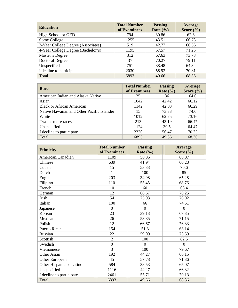| <b>Education</b>                   | <b>Total Number</b><br>of Examinees | <b>Passing</b><br>Rate $(\% )$ | Average<br>Score $(\% )$ |
|------------------------------------|-------------------------------------|--------------------------------|--------------------------|
|                                    |                                     |                                |                          |
| High School or GED                 | 794                                 | 30.86                          | 62.6                     |
| Some College                       | 1255                                | 43.51                          | 66.78                    |
| 2-Year College Degree (Associates) | 519                                 | 42.77                          | 66.56                    |
| 4-Year College Degree (Bachelor's) | 1195                                | 57.57                          | 71.25                    |
| Master's Degree                    | 312                                 | 67.63                          | 73.78                    |
| <b>Doctoral Degree</b>             | 37                                  | 70.27                          | 79.11                    |
| Unspecified                        | 751                                 | 38.48                          | 64.34                    |
| I decline to participate           | 2030                                | 58.92                          | 70.81                    |
| Total                              | 6893                                | 49.66                          | 68.36                    |

| <b>Race</b>                                | <b>Total Number</b><br>of Examinees | <b>Passing</b><br>Rate $(\% )$ | Average<br>Score $(\% )$ |
|--------------------------------------------|-------------------------------------|--------------------------------|--------------------------|
| American Indian and Alaska Native          | 25                                  | 36                             | 64.6                     |
| Asian                                      | 1042                                | 42.42                          | 66.12                    |
| <b>Black or African American</b>           | 1142                                | 42.03                          | 66.29                    |
| Native Hawaiian and Other Pacific Islander | 15                                  | 73.33                          | 74.6                     |
| White                                      | 1012                                | 62.75                          | 73.16                    |
| Two or more races                          | 213                                 | 43.19                          | 66.47                    |
| Unspecified                                | 1124                                | 39.5                           | 64.47                    |
| I decline to participate                   | 2320                                | 56.47                          | 70.35                    |
| Total                                      | 6893                                | 49.66                          | 68.36                    |

| <b>Ethnicity</b>         | <b>Total Number</b> | <b>Passing</b> | <b>Average</b> |
|--------------------------|---------------------|----------------|----------------|
|                          | of Examinees        | Rate $(\% )$   | Score $(\% )$  |
| American/Canadian        | 1109                | 50.86          | 68.87          |
| Chinese                  | 639                 | 41.94          | 66.28          |
| Cuban                    | 15                  | 53.33          | 70.6           |
| Dutch                    | $\mathbf{1}$        | 100            | 85             |
| English                  | 203                 | 34.98          | 65.28          |
| Filipino                 | 110                 | 55.45          | 68.76          |
| French                   | 10                  | 60             | 66.4           |
| German                   | 12                  | 66.67          | 78.25          |
| Irish                    | 54                  | 75.93          | 76.02          |
| Italian                  | 100                 | 66             | 74.51          |
| Japanese                 | $\overline{0}$      | $\overline{0}$ | $\overline{0}$ |
| Korean                   | 23                  | 39.13          | 67.35          |
| Mexican                  | 26                  | 53.85          | 71.15          |
| Polish                   | 12                  | 66.67          | 76.33          |
| Puerto Rican             | 154                 | 51.3           | 68.14          |
| Russian                  | 22                  | 59.09          | 73.59          |
| Scottish                 | $\overline{2}$      | 100            | 82.5           |
| Swedish                  | $\overline{0}$      | $\overline{0}$ | $\overline{0}$ |
| Vietnamese               | 3                   | 100            | 79.67          |
| Other Asian              | 192                 | 44.27          | 66.15          |
| Other European           | 45                  | 57.78          | 71.36          |
| Other Hispanic or Latino | 584                 | 38.53          | 65.07          |
| Unspecified              | 1116                | 44.27          | 66.32          |
| I decline to participate | 2461                | 55.71          | 70.13          |
| Total                    | 6893                | 49.66          | 68.36          |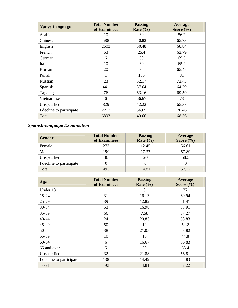| <b>Native Language</b>   | <b>Total Number</b><br>of Examinees | <b>Passing</b><br>Rate $(\% )$ | <b>Average</b><br>Score $(\% )$ |
|--------------------------|-------------------------------------|--------------------------------|---------------------------------|
| Arabic                   | 10                                  | 30                             | 56.2                            |
| Chinese                  | 588                                 | 40.82                          | 65.73                           |
| English                  | 2603                                | 50.48                          | 68.84                           |
| French                   | 63                                  | 25.4                           | 62.79                           |
| German                   | 6                                   | 50                             | 69.5                            |
| Italian                  | 10                                  | 30                             | 65.4                            |
| Korean                   | 20                                  | 35                             | 65.45                           |
| Polish                   | 1                                   | 100                            | 81                              |
| Russian                  | 23                                  | 52.17                          | 72.43                           |
| Spanish                  | 441                                 | 37.64                          | 64.79                           |
| Tagalog                  | 76                                  | 63.16                          | 69.59                           |
| Vietnamese               | 6                                   | 66.67                          | 73                              |
| Unspecified              | 829                                 | 42.22                          | 65.37                           |
| I decline to participate | 2217                                | 56.65                          | 70.46                           |
| Total                    | 6893                                | 49.66                          | 68.36                           |

# *Spanish-language Examination*

| <b>Gender</b>            | <b>Total Number</b><br>of Examinees | <b>Passing</b><br>Rate $(\% )$ | Average<br>Score $(\% )$ |
|--------------------------|-------------------------------------|--------------------------------|--------------------------|
| Female                   | 273                                 | 12.45                          | 56.61                    |
| Male                     | 190                                 | 17.37                          | 57.89                    |
| Unspecified              | 30                                  | 20                             | 58.5                     |
| I decline to participate |                                     |                                |                          |
| Total                    | 493                                 | 14.81                          | 57.22                    |

| Age                      | <b>Total Number</b><br>of Examinees | <b>Passing</b><br>Rate $(\% )$ | Average<br>Score $(\% )$ |
|--------------------------|-------------------------------------|--------------------------------|--------------------------|
| Under 18                 | 1                                   | $\Omega$                       | 37                       |
| 18-24                    | 31                                  | 16.13                          | 60.94                    |
| $25-29$                  | 39                                  | 12.82                          | 61.41                    |
| 30-34                    | 53                                  | 16.98                          | 58.91                    |
| 35-39                    | 66                                  | 7.58                           | 57.27                    |
| $40 - 44$                | 24                                  | 20.83                          | 58.83                    |
| 45-49                    | 50                                  | 12                             | 54.2                     |
| 50-54                    | 38                                  | 21.05                          | 58.82                    |
| 55-59                    | 10                                  | 10                             | 44.8                     |
| 60-64                    | 6                                   | 16.67                          | 56.83                    |
| 65 and over              | 5                                   | 20                             | 63.4                     |
| Unspecified              | 32                                  | 21.88                          | 56.81                    |
| I decline to participate | 138                                 | 14.49                          | 55.83                    |
| Total                    | 493                                 | 14.81                          | 57.22                    |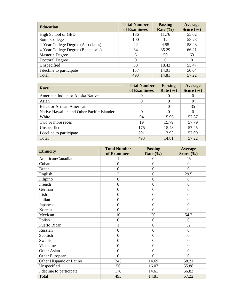| <b>Education</b>                   | <b>Total Number</b><br>of Examinees | <b>Passing</b><br>Rate $(\% )$ | Average<br>Score $(\% )$ |
|------------------------------------|-------------------------------------|--------------------------------|--------------------------|
| High School or GED                 | 136                                 | 11.76                          | 55.62                    |
| Some College                       | 100                                 | 12                             | 58.28                    |
| 2-Year College Degree (Associates) | 22                                  | 4.55                           | 58.23                    |
| 4-Year College Degree (Bachelor's) | 34                                  | 35.29                          | 66.21                    |
| Master's Degree                    | 6                                   | 50                             | 63                       |
| Doctoral Degree                    | $\theta$                            | $\Omega$                       | $\Omega$                 |
| Unspecified                        | 38                                  | 18.42                          | 55.47                    |
| I decline to participate           | 157                                 | 14.01                          | 56.04                    |
| Total                              | 493                                 | 14.81                          | 57.22                    |

| <b>Race</b>                                | <b>Total Number</b><br>of Examinees | <b>Passing</b><br>Rate $(\% )$ | Average<br>Score $(\% )$ |
|--------------------------------------------|-------------------------------------|--------------------------------|--------------------------|
| American Indian or Alaska Native           |                                     |                                |                          |
| Asian                                      | $\theta$                            | $_{0}$                         |                          |
| <b>Black or African American</b>           | 4                                   | $\theta$                       | 35                       |
| Native Hawaiian and Other Pacific Islander | 0                                   | $\Omega$                       |                          |
| White                                      | 94                                  | 15.96                          | 57.87                    |
| Two or more races                          | 19                                  | 15.79                          | 57.79                    |
| Unspecified                                | 175                                 | 15.43                          | 57.45                    |
| I decline to participate                   | 201                                 | 13.93                          | 57.09                    |
| Total                                      | 493                                 | 14.81                          | 57.22                    |

| <b>Ethnicity</b>         | <b>Total Number</b><br>of Examinees | <b>Passing</b><br>Rate $(\% )$ | Average<br>Score $(\% )$ |
|--------------------------|-------------------------------------|--------------------------------|--------------------------|
| American/Canadian        |                                     | $\theta$                       | 46                       |
| Cuban                    | $\theta$                            | $\overline{0}$                 | $\theta$                 |
| Dutch                    | $\overline{0}$                      | $\theta$                       | $\overline{0}$           |
| English                  | $\overline{2}$                      | $\mathbf{0}$                   | 29.5                     |
| Filipino                 | $\mathbf{0}$                        | $\overline{0}$                 | $\overline{0}$           |
| French                   | $\mathbf{0}$                        | $\overline{0}$                 | $\overline{0}$           |
| German                   | $\overline{0}$                      | $\overline{0}$                 | $\overline{0}$           |
| Irish                    | $\theta$                            | $\overline{0}$                 | $\overline{0}$           |
| Italian                  | $\mathbf{0}$                        | $\mathbf{0}$                   | $\overline{0}$           |
| Japanese                 | $\mathbf{0}$                        | $\overline{0}$                 | $\overline{0}$           |
| Korean                   | $\overline{0}$                      | $\overline{0}$                 | $\theta$                 |
| Mexican                  | 10                                  | 20                             | 54.2                     |
| Polish                   | $\overline{0}$                      | $\mathbf{0}$                   | $\theta$                 |
| Puerto Rican             | 1                                   | $\overline{0}$                 | 32                       |
| Russian                  | $\mathbf{0}$                        | $\mathbf{0}$                   | $\theta$                 |
| Scottish                 | $\overline{0}$                      | $\overline{0}$                 | $\theta$                 |
| Swedish                  | $\mathbf{0}$                        | $\overline{0}$                 | $\theta$                 |
| Vietnamese               | $\mathbf{0}$                        | $\mathbf{0}$                   | $\overline{0}$           |
| Other Asian              | $\overline{0}$                      | $\overline{0}$                 | $\overline{0}$           |
| Other European           | $\overline{0}$                      | $\overline{0}$                 | $\overline{0}$           |
| Other Hispanic or Latino | 245                                 | 14.69                          | 58.31                    |
| Unspecified              | 56                                  | 16.07                          | 55.88                    |
| I decline to participate | 178                                 | 14.61                          | 56.83                    |
| Total                    | 493                                 | 14.81                          | 57.22                    |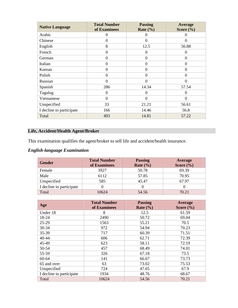| <b>Native Language</b>   | <b>Total Number</b><br>of Examinees | <b>Passing</b><br>Rate $(\% )$ | Average<br>Score $(\% )$ |
|--------------------------|-------------------------------------|--------------------------------|--------------------------|
| Arabic                   | $\Omega$                            | 0                              | $\theta$                 |
| Chinese                  | 0                                   | $\overline{0}$                 | $\Omega$                 |
| English                  | 8                                   | 12.5                           | 56.88                    |
| French                   | $\boldsymbol{0}$                    | $\overline{0}$                 | $\Omega$                 |
| German                   | $\theta$                            | $\boldsymbol{0}$               | $\theta$                 |
| Italian                  | $\overline{0}$                      | $\theta$                       | $\Omega$                 |
| Korean                   | $\overline{0}$                      | $\overline{0}$                 | $\theta$                 |
| Polish                   | $\Omega$                            | $\overline{0}$                 | $\overline{0}$           |
| Russian                  | $\overline{0}$                      | $\overline{0}$                 | $\overline{0}$           |
| Spanish                  | 286                                 | 14.34                          | 57.54                    |
| Tagalog                  | $\Omega$                            | 0                              | 0                        |
| Vietnamese               | $\theta$                            | $\overline{0}$                 | $\boldsymbol{0}$         |
| Unspecified              | 33                                  | 21.21                          | 56.61                    |
| I decline to participate | 166                                 | 14.46                          | 56.8                     |
| Total                    | 493                                 | 14.81                          | 57.22                    |

# **Life, Accident/Health Agent/Broker**

This examination qualifies the agent/broker to sell life and accident/health insurance.

# *English-language Examination*

| <b>Gender</b>            | <b>Total Number</b><br>of Examinees | <b>Passing</b><br>Rate $(\% )$ | Average<br>Score $(\% )$ |
|--------------------------|-------------------------------------|--------------------------------|--------------------------|
| Female                   | 3927                                | 50.78                          | 69.39                    |
| Male                     | 6112                                | 57.85                          | 70.95                    |
| Unspecified              | 585                                 | 45.47                          | 67.97                    |
| I decline to participate |                                     |                                |                          |
| Total                    | 10624                               | 54.56                          | 70.21                    |

| Age                      | <b>Total Number</b><br>of Examinees | <b>Passing</b><br>Rate $(\% )$ | Average<br>Score $(\% )$ |
|--------------------------|-------------------------------------|--------------------------------|--------------------------|
| Under 18                 | 8                                   | 12.5                           | 61.59                    |
| 18-24                    | 2490                                | 50.72                          | 69.04                    |
| $25 - 29$                | 1563                                | 55.21                          | 70.5                     |
| 30-34                    | 972                                 | 54.94                          | 70.23                    |
| 35-39                    | 717                                 | 60.39                          | 71.51                    |
| 40-44                    | 606                                 | 62.71                          | 72.39                    |
| 45-49                    | 623                                 | 58.11                          | 72.19                    |
| 50-54                    | 457                                 | 68.49                          | 74.01                    |
| 55-59                    | 326                                 | 67.18                          | 73.5                     |
| 60-64                    | 141                                 | 66.67                          | 73.73                    |
| 65 and over              | 63                                  | 73.02                          | 75.53                    |
| Unspecified              | 724                                 | 47.65                          | 67.9                     |
| I decline to participate | 1934                                | 48.76                          | 68.67                    |
| Total                    | 10624                               | 54.56                          | 70.21                    |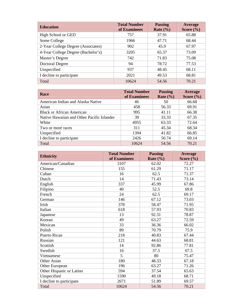| <b>Education</b>                   | <b>Total Number</b><br>of Examinees | <b>Passing</b><br>Rate $(\% )$ | Average<br>Score $(\% )$ |
|------------------------------------|-------------------------------------|--------------------------------|--------------------------|
| High School or GED                 | 757                                 | 37.91                          | 65.88                    |
| Some College                       | 1966                                | 47.71                          | 68.44                    |
| 2-Year College Degree (Associates) | 902                                 | 45.9                           | 67.97                    |
| 4-Year College Degree (Bachelor's) | 3205                                | 65.37                          | 73.09                    |
| Master's Degree                    | 742                                 | 71.83                          | 75.08                    |
| Doctoral Degree                    | 94                                  | 78.72                          | 77.53                    |
| Unspecified                        | 937                                 | 48.45                          | 68.11                    |
| I decline to participate           | 2021                                | 49.53                          | 68.81                    |
| Total                              | 10624                               | 54.56                          | 70.21                    |

| <b>Race</b>                                | <b>Total Number</b><br>of Examinees | <b>Passing</b><br>Rate $(\% )$ | Average<br>Score $(\% )$ |
|--------------------------------------------|-------------------------------------|--------------------------------|--------------------------|
| American Indian and Alaska Native          | 46                                  | 50                             | 66.68                    |
| Asian                                      | 458                                 | 56.33                          | 69.91                    |
| <b>Black or African American</b>           | 995                                 | 41.11                          | 66.38                    |
| Native Hawaiian and Other Pacific Islander | 39                                  | 33.33                          | 67.35                    |
| White                                      | 4955                                | 63.33                          | 72.64                    |
| Two or more races                          | 311                                 | 45.34                          | 68.34                    |
| Unspecified                                | 1394                                | 41.82                          | 66.85                    |
| I decline to participate                   | 2426                                | 50.74                          | 69.14                    |
| Total                                      | 10624                               | 54.56                          | 70.21                    |

| <b>Ethnicity</b>         | <b>Total Number</b> | <b>Passing</b> | <b>Average</b> |
|--------------------------|---------------------|----------------|----------------|
|                          | of Examinees        | Rate $(\% )$   | Score $(\% )$  |
| American/Canadian        | 3107                | 62.02          | 72.27          |
| Chinese                  | 155                 | 61.29          | 71.17          |
| Cuban                    | 16                  | 62.5           | 71.37          |
| Dutch                    | 14                  | 71.43          | 73.14          |
| English                  | 337                 | 45.99          | 67.86          |
| Filipino                 | 40                  | 52.5           | 69.8           |
| French                   | 24                  | 62.5           | 69.17          |
| German                   | 146                 | 67.12          | 73.03          |
| Irish                    | 378                 | 58.47          | 71.95          |
| Italian                  | 618                 | 57.93          | 70.83          |
| Japanese                 | 13                  | 92.31          | 78.87          |
| Korean                   | 49                  | 63.27          | 72.59          |
| Mexican                  | 33                  | 36.36          | 66.02          |
| Polish                   | 89                  | 70.79          | 75.9           |
| <b>Puerto Rican</b>      | 218                 | 40.83          | 67.44          |
| Russian                  | 121                 | 44.63          | 68.81          |
| Scottish                 | 14                  | 92.86          | 77.81          |
| Swedish                  | 16                  | 37.5           | 67.5           |
| Vietnamese               | 5                   | 80             | 75.47          |
| Other Asian              | 180                 | 48.33          | 67.18          |
| Other European           | 196                 | 63.27          | 71.26          |
| Other Hispanic or Latino | 594                 | 37.54          | 65.63          |
| Unspecified              | 1590                | 49.18          | 68.71          |
| I decline to participate | 2671                | 51.89          | 69.57          |
| Total                    | 10624               | 54.56          | 70.21          |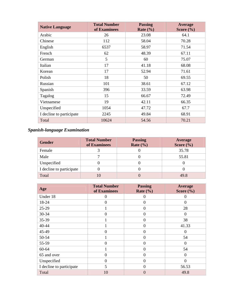| <b>Native Language</b>   | <b>Total Number</b><br>of Examinees | <b>Passing</b><br>Rate $(\% )$ | <b>Average</b><br>Score $(\% )$ |
|--------------------------|-------------------------------------|--------------------------------|---------------------------------|
| Arabic                   | 26                                  | 23.08                          | 64.1                            |
| Chinese                  | 112                                 | 58.04                          | 70.28                           |
| English                  | 6537                                | 58.97                          | 71.54                           |
| French                   | 62                                  | 48.39                          | 67.11                           |
| German                   | 5                                   | 60                             | 75.07                           |
| Italian                  | 17                                  | 41.18                          | 68.08                           |
| Korean                   | 17                                  | 52.94                          | 71.61                           |
| Polish                   | 18                                  | 50                             | 69.55                           |
| Russian                  | 101                                 | 38.61                          | 67.12                           |
| Spanish                  | 396                                 | 33.59                          | 63.98                           |
| Tagalog                  | 15                                  | 66.67                          | 72.49                           |
| Vietnamese               | 19                                  | 42.11                          | 66.35                           |
| Unspecified              | 1054                                | 47.72                          | 67.7                            |
| I decline to participate | 2245                                | 49.84                          | 68.91                           |
| Total                    | 10624                               | 54.56                          | 70.21                           |

# *Spanish-language Examination*

| <b>Gender</b>            | <b>Total Number</b><br>of Examinees | <b>Passing</b><br>Rate $(\% )$ | Average<br>Score $(\% )$ |
|--------------------------|-------------------------------------|--------------------------------|--------------------------|
| Female                   |                                     |                                | 35.78                    |
| Male                     |                                     |                                | 55.81                    |
| Unspecified              |                                     |                                |                          |
| I decline to participate |                                     |                                |                          |
| Total                    |                                     |                                | 49.8                     |

| Age                      | <b>Total Number</b><br>of Examinees | <b>Passing</b><br>Rate $(\% )$ | Average<br>Score $(\% )$ |
|--------------------------|-------------------------------------|--------------------------------|--------------------------|
| Under 18                 | $\theta$                            | 0                              | $\mathbf{\Omega}$        |
| 18-24                    | $\theta$                            | $\overline{0}$                 | $\overline{0}$           |
| $25-29$                  | 1                                   | $\overline{0}$                 | 28                       |
| 30-34                    | $\Omega$                            | $\theta$                       | 0                        |
| 35-39                    |                                     | $\overline{0}$                 | 38                       |
| 40-44                    | 1                                   | $\overline{0}$                 | 41.33                    |
| 45-49                    | $\theta$                            | $\theta$                       | 0                        |
| 50-54                    | 1                                   | $\theta$                       | 54                       |
| 55-59                    | $\theta$                            | $\Omega$                       | $\Omega$                 |
| 60-64                    | 1                                   | $\theta$                       | 54                       |
| 65 and over              | $\Omega$                            | $\theta$                       | $\Omega$                 |
| Unspecified              | $\Omega$                            | $\Omega$                       | $\Omega$                 |
| I decline to participate | 5                                   | $\theta$                       | 56.53                    |
| Total                    | 10                                  | $\theta$                       | 49.8                     |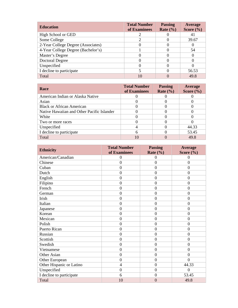| <b>Education</b>                   | <b>Total Number</b><br>of Examinees | <b>Passing</b><br>Rate $(\% )$ | Average<br>Score $(\% )$ |
|------------------------------------|-------------------------------------|--------------------------------|--------------------------|
| High School or GED                 |                                     |                                |                          |
| Some College                       |                                     |                                | 39.67                    |
| 2-Year College Degree (Associates) |                                     |                                |                          |
| 4-Year College Degree (Bachelor's) |                                     |                                | 54                       |
| Master's Degree                    |                                     |                                |                          |
| Doctoral Degree                    |                                     |                                |                          |
| Unspecified                        |                                     |                                |                          |
| I decline to participate           |                                     |                                | 56.53                    |
| Total                              |                                     |                                | 49.8                     |

| <b>Race</b>                                | <b>Total Number</b><br>of Examinees | <b>Passing</b><br>Rate $(\% )$ | Average<br>Score $(\% )$ |
|--------------------------------------------|-------------------------------------|--------------------------------|--------------------------|
| American Indian or Alaska Native           |                                     |                                |                          |
| Asian                                      |                                     |                                |                          |
| <b>Black or African American</b>           |                                     |                                |                          |
| Native Hawaiian and Other Pacific Islander |                                     |                                |                          |
| White                                      |                                     |                                |                          |
| Two or more races                          |                                     |                                |                          |
| Unspecified                                |                                     |                                | 44.33                    |
| I decline to participate                   | 6                                   |                                | 53.45                    |
| Total                                      | 10                                  |                                | 49.8                     |

| <b>Ethnicity</b>         | <b>Total Number</b><br>of Examinees | <b>Passing</b><br>Rate $(\% )$ | <b>Average</b><br>Score $(\% )$ |
|--------------------------|-------------------------------------|--------------------------------|---------------------------------|
| American/Canadian        | $\boldsymbol{0}$                    | $\boldsymbol{0}$               | $\overline{0}$                  |
| Chinese                  | $\mathbf{0}$                        | $\overline{0}$                 | $\overline{0}$                  |
| Cuban                    | $\overline{0}$                      | $\overline{0}$                 | $\overline{0}$                  |
| Dutch                    | $\overline{0}$                      | $\boldsymbol{0}$               | $\overline{0}$                  |
| English                  | $\theta$                            | $\overline{0}$                 | $\overline{0}$                  |
| Filipino                 | $\overline{0}$                      | $\overline{0}$                 | $\overline{0}$                  |
| French                   | $\theta$                            | $\overline{0}$                 | $\overline{0}$                  |
| German                   | $\theta$                            | $\overline{0}$                 | $\overline{0}$                  |
| Irish                    | $\theta$                            | $\overline{0}$                 | $\overline{0}$                  |
| Italian                  | $\mathbf{0}$                        | $\overline{0}$                 | $\overline{0}$                  |
| Japanese                 | $\mathbf{0}$                        | $\overline{0}$                 | $\overline{0}$                  |
| Korean                   | $\overline{0}$                      | $\overline{0}$                 | $\overline{0}$                  |
| Mexican                  | $\mathbf{0}$                        | $\overline{0}$                 | $\overline{0}$                  |
| Polish                   | $\mathbf{0}$                        | $\overline{0}$                 | $\overline{0}$                  |
| <b>Puerto Rican</b>      | $\overline{0}$                      | $\boldsymbol{0}$               | $\overline{0}$                  |
| Russian                  | $\theta$                            | $\overline{0}$                 | $\overline{0}$                  |
| Scottish                 | $\theta$                            | $\overline{0}$                 | $\overline{0}$                  |
| Swedish                  | $\overline{0}$                      | $\overline{0}$                 | $\overline{0}$                  |
| Vietnamese               | $\mathbf{0}$                        | $\overline{0}$                 | $\Omega$                        |
| Other Asian              | $\theta$                            | $\overline{0}$                 | $\overline{0}$                  |
| Other European           | $\overline{0}$                      | $\overline{0}$                 | $\Omega$                        |
| Other Hispanic or Latino | 4                                   | $\overline{0}$                 | 44.33                           |
| Unspecified              | $\boldsymbol{0}$                    | $\boldsymbol{0}$               | $\overline{0}$                  |
| I decline to participate | 6                                   | $\boldsymbol{0}$               | 53.45                           |
| Total                    | 10                                  | $\overline{0}$                 | 49.8                            |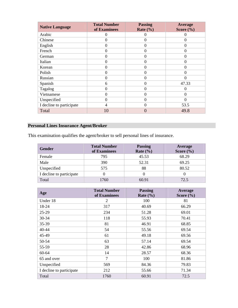| <b>Native Language</b>   | <b>Total Number</b><br>of Examinees | <b>Passing</b><br>Rate $(\% )$ | <b>Average</b><br>Score $(\% )$ |
|--------------------------|-------------------------------------|--------------------------------|---------------------------------|
| Arabic                   | $\theta$                            |                                |                                 |
| Chinese                  | $\overline{0}$                      | $\theta$                       | $\overline{0}$                  |
| English                  | $\theta$                            | $\Omega$                       | $\Omega$                        |
| French                   | $\overline{0}$                      | $\Omega$                       | $\theta$                        |
| German                   | $\theta$                            | $\Omega$                       | $\Omega$                        |
| Italian                  | $\theta$                            | 0                              | $\Omega$                        |
| Korean                   | $\overline{0}$                      | $\Omega$                       | $\theta$                        |
| Polish                   | $\overline{0}$                      | $\Omega$                       | $\Omega$                        |
| Russian                  | $\overline{0}$                      | $\Omega$                       | $\Omega$                        |
| Spanish                  | 6                                   | 0                              | 47.33                           |
| Tagalog                  | $\theta$                            | 0                              | 0                               |
| Vietnamese               | $\boldsymbol{0}$                    | $\theta$                       | $\theta$                        |
| Unspecified              | $\theta$                            | $\Omega$                       | $\Omega$                        |
| I decline to participate | 4                                   | 0                              | 53.5                            |
| Total                    | 10                                  |                                | 49.8                            |

# **Personal Lines Insurance Agent/Broker**

This examination qualifies the agent/broker to sell personal lines of insurance.

| <b>Gender</b>            | <b>Total Number</b><br>of Examinees | <b>Passing</b><br>Rate $(\% )$ | Average<br>Score $(\% )$ |
|--------------------------|-------------------------------------|--------------------------------|--------------------------|
| Female                   | 795                                 | 45.53                          | 68.29                    |
| Male                     | 390                                 | 52.31                          | 69.25                    |
| Unspecified              | 575                                 | 88                             | 80.52                    |
| I decline to participate |                                     |                                |                          |
| Total                    | 1760                                | 60.91                          | 72.5                     |

| Age                      | <b>Total Number</b><br>of Examinees | <b>Passing</b><br>Rate $(\% )$ | Average<br>Score $(\% )$ |
|--------------------------|-------------------------------------|--------------------------------|--------------------------|
| Under 18                 | 2                                   | 100                            | 81                       |
| 18-24                    | 317                                 | 40.69                          | 66.29                    |
| $25-29$                  | 234                                 | 51.28                          | 69.01                    |
| 30-34                    | 118                                 | 55.93                          | 70.41                    |
| 35-39                    | 81                                  | 46.91                          | 68.85                    |
| 40-44                    | 54                                  | 55.56                          | 69.54                    |
| 45-49                    | 61                                  | 49.18                          | 69.56                    |
| 50-54                    | 63                                  | 57.14                          | 69.54                    |
| 55-59                    | 28                                  | 42.86                          | 68.96                    |
| 60-64                    | 14                                  | 28.57                          | 68.36                    |
| 65 and over              | $\tau$                              | 100                            | 81.86                    |
| Unspecified              | 569                                 | 84.36                          | 79.83                    |
| I decline to participate | 212                                 | 55.66                          | 71.34                    |
| Total                    | 1760                                | 60.91                          | 72.5                     |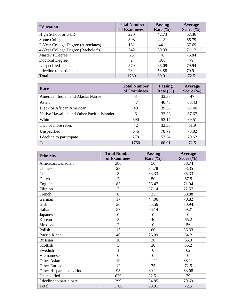| <b>Education</b>                   | <b>Total Number</b><br>of Examinees | <b>Passing</b><br>Rate $(\% )$ | Average<br>Score $(\% )$ |
|------------------------------------|-------------------------------------|--------------------------------|--------------------------|
| High School or GED                 | 220                                 | 42.73                          | 67.36                    |
| Some College                       | 308                                 | 42.21                          | 66.79                    |
| 2-Year College Degree (Associates) | 161                                 | 44.1                           | 67.69                    |
| 4-Year College Degree (Bachelor's) | 242                                 | 60.33                          | 71.12                    |
| Master's Degree                    | 25                                  | 76                             | 76.84                    |
| <b>Doctoral Degree</b>             | 2                                   | 100                            | 79                       |
| Unspecified                        | 570                                 | 85.09                          | 79.94                    |
| I decline to participate           | 232                                 | 53.88                          | 70.91                    |
| Total                              | 1760                                | 60.91                          | 72.5                     |

| <b>Race</b>                                | <b>Total Number</b><br>of Examinees | <b>Passing</b><br>Rate $(\% )$ | Average<br>Score $(\% )$ |
|--------------------------------------------|-------------------------------------|--------------------------------|--------------------------|
| American Indian and Alaska Native          | 3                                   | 33.33                          | 47                       |
| Asian                                      | 47                                  | 40.43                          | 68.43                    |
| <b>Black or African American</b>           | 48                                  | 39.58                          | 67.46                    |
| Native Hawaiian and Other Pacific Islander | 6                                   | 33.33                          | 67.67                    |
| White                                      | 690                                 | 52.17                          | 69.51                    |
| Two or more races                          | 42                                  | 33.33                          | 61.9                     |
| Unspecified                                | 646                                 | 78.79                          | 78.02                    |
| I decline to participate                   | 278                                 | 53.24                          | 70.62                    |
| Total                                      | 1760                                | 60.91                          | 72.5                     |

| <b>Ethnicity</b>         | <b>Total Number</b> | <b>Passing</b> | Average        |
|--------------------------|---------------------|----------------|----------------|
|                          | of Examinees        | Rate $(\% )$   | Score $(\% )$  |
| American/Canadian        | 386                 | 50             | 68.74          |
| Chinese                  | 23                  | 34.78          | 68.35          |
| Cuban                    | 3                   | 33.33          | 65.33          |
| Dutch                    | $\overline{2}$      | 50             | 67.5           |
| English                  | 85                  | 56.47          | 71.94          |
| Filipino                 | $\overline{7}$      | 57.14          | 72.57          |
| French                   | 8                   | 25             | 68.88          |
| German                   | 17                  | 47.06          | 70.82          |
| Irish                    | 36                  | 55.56          | 70.94          |
| Italian                  | 57                  | 56.14          | 69.21          |
| Japanese                 | $\boldsymbol{0}$    | $\overline{0}$ | $\overline{0}$ |
| Korean                   | 5                   | 40             | 65.2           |
| Mexican                  | $\overline{2}$      | $\Omega$       | 56             |
| Polish                   | 15                  | 60             | 66.33          |
| Puerto Rican             | 46                  | 26.09          | 64.2           |
| Russian                  | 10                  | 30             | 65.3           |
| Scottish                 | 5                   | 20             | 65.2           |
| Swedish                  | 1                   | $\mathbf{0}$   | 62             |
| Vietnamese               | $\theta$            | $\overline{0}$ | $\theta$       |
| Other Asian              | 19                  | 42.11          | 68.11          |
| Other European           | 12                  | 75             | 72.5           |
| Other Hispanic or Latino | 93                  | 30.11          | 63.08          |
| Unspecified              | 629                 | 82.51          | 79             |
| I decline to participate | 299                 | 54.85          | 70.69          |
| Total                    | 1760                | 60.91          | 72.5           |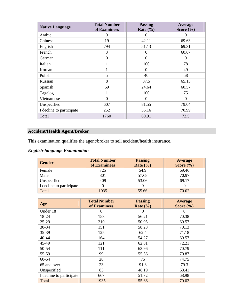| <b>Native Language</b>   | <b>Total Number</b><br>of Examinees | <b>Passing</b><br>Rate $(\% )$ | Average<br>Score $(\% )$ |
|--------------------------|-------------------------------------|--------------------------------|--------------------------|
| Arabic                   | $\Omega$                            | 0                              | $\theta$                 |
| Chinese                  | 19                                  | 42.11                          | 69.63                    |
| English                  | 794                                 | 51.13                          | 69.31                    |
| French                   | 3                                   | $\Omega$                       | 60.67                    |
| German                   | $\overline{0}$                      | $\overline{0}$                 | $\theta$                 |
| Italian                  | 1                                   | 100                            | 78                       |
| Korean                   | 1                                   | $\overline{0}$                 | 49                       |
| Polish                   | 5                                   | 40                             | 58                       |
| Russian                  | 8                                   | 37.5                           | 65.13                    |
| Spanish                  | 69                                  | 24.64                          | 60.57                    |
| Tagalog                  | 1                                   | 100                            | 75                       |
| Vietnamese               | $\theta$                            | $\theta$                       | $\theta$                 |
| Unspecified              | 607                                 | 81.55                          | 79.04                    |
| I decline to participate | 252                                 | 55.16                          | 70.99                    |
| Total                    | 1760                                | 60.91                          | 72.5                     |

# **Accident/Health Agent/Broker**

This examination qualifies the agent/broker to sell accident/health insurance.

# *English-language Examination*

| Gender                   | <b>Total Number</b> | <b>Passing</b> | <b>Average</b> |
|--------------------------|---------------------|----------------|----------------|
|                          | of Examinees        | Rate $(\% )$   | Score $(\% )$  |
| Female                   | 725                 | 54.9           | 69.46          |
| Male                     | 801                 | 57.68          | 70.97          |
| Unspecified              | 409                 | 53.06          | 69.17          |
| I decline to participate |                     |                |                |
| Total                    | 1935                | 55.66          | 70.02          |

| Age                      | <b>Total Number</b><br>of Examinees | <b>Passing</b><br>Rate $(\% )$ | Average<br>Score $(\% )$ |
|--------------------------|-------------------------------------|--------------------------------|--------------------------|
| Under 18                 | $\Omega$                            | $\theta$                       | $\Omega$                 |
| 18-24                    | 153                                 | 56.21                          | 70.38                    |
| $25-29$                  | 210                                 | 50.95                          | 69.57                    |
| 30-34                    | 151                                 | 58.28                          | 70.13                    |
| 35-39                    | 125                                 | 62.4                           | 71.18                    |
| $40 - 44$                | 164                                 | 54.27                          | 69.57                    |
| 45-49                    | 121                                 | 62.81                          | 72.21                    |
| 50-54                    | 111                                 | 63.96                          | 70.79                    |
| 55-59                    | 99                                  | 55.56                          | 70.87                    |
| 60-64                    | 28                                  | 75                             | 74.75                    |
| 65 and over              | 23                                  | 91.3                           | 79.3                     |
| Unspecified              | 83                                  | 48.19                          | 68.41                    |
| I decline to participate | 667                                 | 51.72                          | 68.98                    |
| Total                    | 1935                                | 55.66                          | 70.02                    |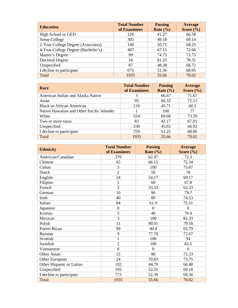| <b>Education</b>                   | <b>Total Number</b><br>of Examinees | <b>Passing</b><br>Rate $(\% )$ | Average<br>Score $(\% )$ |
|------------------------------------|-------------------------------------|--------------------------------|--------------------------|
| High School or GED                 | 126                                 | 41.27                          | 66.58                    |
| Some College                       | 305                                 | 49.18                          | 69.14                    |
| 2-Year College Degree (Associates) | 140                                 | 50.71                          | 68.25                    |
| 4-Year College Degree (Bachelor's) | 487                                 | 67.15                          | 72.66                    |
| Master's Degree                    | 99                                  | 74.75                          | 73.75                    |
| <b>Doctoral Degree</b>             | 16                                  | 81.25                          | 78.31                    |
| Unspecified                        | 87                                  | 48.28                          | 68.72                    |
| I decline to participate           | 675                                 | 51.56                          | 68.95                    |
| Total                              | 1935                                | 55.66                          | 70.02                    |

| <b>Race</b>                                | <b>Total Number</b><br>of Examinees | <b>Passing</b><br>Rate $(\% )$ | Average<br>Score $(\% )$ |
|--------------------------------------------|-------------------------------------|--------------------------------|--------------------------|
| American Indian and Alaska Native          | 3                                   | 66.67                          | 71.67                    |
| Asian                                      | 95                                  | 66.32                          | 72.11                    |
| <b>Black or African American</b>           | 210                                 | 45.71                          | 68.3                     |
| Native Hawaiian and Other Pacific Islander |                                     | 100                            | 77                       |
| White                                      | 554                                 | 69.68                          | 73.59                    |
| Two or more races                          | 83                                  | 42.17                          | 67.01                    |
| Unspecified                                | 230                                 | 45.65                          | 66.92                    |
| I decline to participate                   | 759                                 | 51.25                          | 68.89                    |
| Total                                      | 1935                                | 55.66                          | 70.02                    |

| <b>Ethnicity</b>         | <b>Total Number</b><br>of Examinees | <b>Passing</b><br>Rate $(\% )$ | <b>Average</b><br>Score $(\% )$ |
|--------------------------|-------------------------------------|--------------------------------|---------------------------------|
| American/Canadian        | 370                                 | 62.97                          | 72.3                            |
| Chinese                  | 65                                  | 66.15                          | 72.34                           |
| Cuban                    | 3                                   | 100                            | 75.67                           |
| Dutch                    | $\overline{2}$                      | 50                             | 70                              |
| English                  | 24                                  | 54.17                          | 69.17                           |
| Filipino                 | 5                                   | 60                             | 67.8                            |
| French                   | 3                                   | 33.33                          | 62.33                           |
| German                   | 10                                  | 90                             | 79.7                            |
| Irish                    | 40                                  | 80                             | 74.53                           |
| Italian                  | 84                                  | 61.9                           | 72.51                           |
| Japanese                 | $\boldsymbol{0}$                    | $\overline{0}$                 | $\theta$                        |
| Korean                   | 5                                   | 40                             | 70.4                            |
| Mexican                  | $\overline{3}$                      | 100                            | 82.33                           |
| Polish                   | 11                                  | 90.91                          | 79.18                           |
| Puerto Rican             | 99                                  | 40.4                           | 65.79                           |
| Russian                  | 9                                   | 77.78                          | 72.67                           |
| Scottish                 | 1                                   | 100                            | 94                              |
| Swedish                  | $\overline{2}$                      | 100                            | 82.5                            |
| Vietnamese               | $\overline{0}$                      | $\overline{0}$                 | $\overline{0}$                  |
| Other Asian              | 15                                  | 80                             | 72.33                           |
| Other European           | 24                                  | 70.83                          | 73.75                           |
| Other Hispanic or Latino | 192                                 | 44.79                          | 66.48                           |
| Unspecified              | 195                                 | 52.31                          | 69.18                           |
| I decline to participate | 773                                 | 52.39                          | 69.36                           |
| Total                    | 1935                                | 55.66                          | 70.02                           |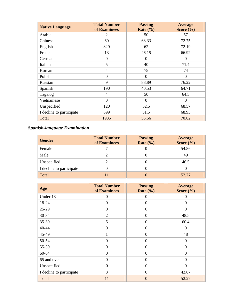| <b>Native Language</b>   | <b>Total Number</b><br>of Examinees | <b>Passing</b><br>Rate $(\% )$ | <b>Average</b><br>Score $(\% )$ |
|--------------------------|-------------------------------------|--------------------------------|---------------------------------|
| Arabic                   | 2                                   | 50                             | 57                              |
| Chinese                  | 60                                  | 68.33                          | 72.75                           |
| English                  | 829                                 | 62                             | 72.19                           |
| French                   | 13                                  | 46.15                          | 66.92                           |
| German                   | $\overline{0}$                      | $\theta$                       | $\overline{0}$                  |
| Italian                  | 5                                   | 40                             | 71.4                            |
| Korean                   | 4                                   | 75                             | 74                              |
| Polish                   | $\mathbf{0}$                        | $\overline{0}$                 | $\boldsymbol{0}$                |
| Russian                  | 9                                   | 88.89                          | 76.22                           |
| Spanish                  | 190                                 | 40.53                          | 64.71                           |
| Tagalog                  | 4                                   | 50                             | 64.5                            |
| Vietnamese               | $\mathbf{0}$                        | $\boldsymbol{0}$               | $\boldsymbol{0}$                |
| Unspecified              | 120                                 | 52.5                           | 68.57                           |
| I decline to participate | 699                                 | 51.5                           | 68.93                           |
| Total                    | 1935                                | 55.66                          | 70.02                           |

# *Spanish-language Examination*

| <b>Gender</b>            | <b>Total Number</b><br>of Examinees | <b>Passing</b><br>Rate $(\% )$ | Average<br>Score $(\% )$ |
|--------------------------|-------------------------------------|--------------------------------|--------------------------|
| Female                   |                                     |                                | 54.86                    |
| Male                     |                                     |                                | 49                       |
| Unspecified              |                                     |                                | 46.5                     |
| I decline to participate |                                     |                                |                          |
| Total                    |                                     |                                | 52.27                    |

| Age                      | <b>Total Number</b><br>of Examinees | <b>Passing</b><br>Rate $(\% )$ | <b>Average</b><br>Score $(\% )$ |
|--------------------------|-------------------------------------|--------------------------------|---------------------------------|
| Under 18                 | $\mathbf{0}$                        | $\boldsymbol{0}$               | $\overline{0}$                  |
| 18-24                    | $\mathbf{0}$                        | $\overline{0}$                 | $\boldsymbol{0}$                |
| 25-29                    | $\mathbf{0}$                        | $\overline{0}$                 | $\overline{0}$                  |
| 30-34                    | $\overline{2}$                      | $\overline{0}$                 | 48.5                            |
| 35-39                    | 5                                   | $\overline{0}$                 | 60.4                            |
| 40-44                    | $\mathbf{0}$                        | $\boldsymbol{0}$               | $\overline{0}$                  |
| 45-49                    | 1                                   | $\overline{0}$                 | 48                              |
| 50-54                    | $\mathbf{0}$                        | $\overline{0}$                 | $\boldsymbol{0}$                |
| 55-59                    | $\mathbf{0}$                        | $\overline{0}$                 | $\mathbf{0}$                    |
| 60-64                    | $\mathbf{0}$                        | $\boldsymbol{0}$               | $\boldsymbol{0}$                |
| 65 and over              | $\overline{0}$                      | $\overline{0}$                 | $\overline{0}$                  |
| Unspecified              | $\overline{0}$                      | $\theta$                       | $\theta$                        |
| I decline to participate | 3                                   | $\mathbf{0}$                   | 42.67                           |
| Total                    | 11                                  | $\overline{0}$                 | 52.27                           |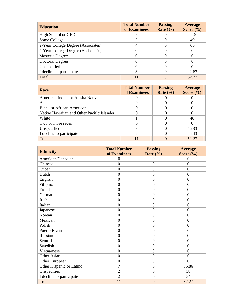| <b>Education</b>                   | <b>Total Number</b><br>of Examinees | <b>Passing</b><br>Rate $(\% )$ | <b>Average</b><br>Score $(\% )$ |
|------------------------------------|-------------------------------------|--------------------------------|---------------------------------|
| High School or GED                 |                                     |                                | 44.5                            |
| Some College                       |                                     |                                | 49                              |
| 2-Year College Degree (Associates) |                                     |                                | 65                              |
| 4-Year College Degree (Bachelor's) |                                     |                                |                                 |
| Master's Degree                    |                                     |                                |                                 |
| Doctoral Degree                    |                                     |                                |                                 |
| Unspecified                        |                                     |                                |                                 |
| I decline to participate           | 3                                   |                                | 42.67                           |
| Total                              |                                     |                                | 52.27                           |

| <b>Race</b>                                | <b>Total Number</b><br>of Examinees | <b>Passing</b><br>Rate $(\% )$ | Average<br>Score $(\% )$ |
|--------------------------------------------|-------------------------------------|--------------------------------|--------------------------|
| American Indian or Alaska Native           |                                     |                                |                          |
| Asian                                      |                                     |                                |                          |
| <b>Black or African American</b>           |                                     |                                |                          |
| Native Hawaiian and Other Pacific Islander |                                     |                                |                          |
| White                                      |                                     |                                | 48                       |
| Two or more races                          |                                     |                                |                          |
| Unspecified                                |                                     |                                | 46.33                    |
| I decline to participate                   |                                     |                                | 55.43                    |
| Total                                      |                                     |                                | 52.27                    |

| <b>Ethnicity</b>         | <b>Total Number</b><br>of Examinees | <b>Passing</b><br>Rate $(\frac{6}{6})$ | <b>Average</b><br>Score $(\% )$ |
|--------------------------|-------------------------------------|----------------------------------------|---------------------------------|
| American/Canadian        | $\overline{0}$                      | $\theta$                               | $\overline{0}$                  |
| Chinese                  | $\overline{0}$                      | $\overline{0}$                         | $\overline{0}$                  |
| Cuban                    | $\mathbf{0}$                        | $\boldsymbol{0}$                       | $\overline{0}$                  |
| Dutch                    | $\overline{0}$                      | $\theta$                               | $\overline{0}$                  |
| English                  | $\mathbf{0}$                        | $\overline{0}$                         | $\overline{0}$                  |
| Filipino                 | $\overline{0}$                      | $\overline{0}$                         | $\overline{0}$                  |
| French                   | $\overline{0}$                      | $\mathbf{0}$                           | $\overline{0}$                  |
| German                   | $\mathbf{0}$                        | $\overline{0}$                         | $\overline{0}$                  |
| Irish                    | $\overline{0}$                      | $\overline{0}$                         | $\overline{0}$                  |
| Italian                  | $\overline{0}$                      | $\mathbf{0}$                           | $\overline{0}$                  |
| Japanese                 | $\overline{0}$                      | $\mathbf{0}$                           | $\overline{0}$                  |
| Korean                   | $\overline{0}$                      | $\mathbf{0}$                           | $\overline{0}$                  |
| Mexican                  | $\mathbf{0}$                        | $\mathbf{0}$                           | $\overline{0}$                  |
| Polish                   | $\overline{0}$                      | $\mathbf{0}$                           | $\overline{0}$                  |
| Puerto Rican             | $\overline{0}$                      | $\overline{0}$                         | $\overline{0}$                  |
| Russian                  | $\mathbf{0}$                        | $\theta$                               | $\overline{0}$                  |
| Scottish                 | $\mathbf{0}$                        | $\overline{0}$                         | $\overline{0}$                  |
| Swedish                  | $\boldsymbol{0}$                    | $\mathbf{0}$                           | $\overline{0}$                  |
| Vietnamese               | $\overline{0}$                      | $\overline{0}$                         | $\overline{0}$                  |
| Other Asian              | $\overline{0}$                      | $\overline{0}$                         | $\overline{0}$                  |
| Other European           | $\overline{0}$                      | $\mathbf{0}$                           | $\theta$                        |
| Other Hispanic or Latino | $\overline{7}$                      | $\mathbf{0}$                           | 55.86                           |
| Unspecified              | $\overline{2}$                      | $\overline{0}$                         | 38                              |
| I decline to participate | $\overline{2}$                      | $\mathbf{0}$                           | 54                              |
| Total                    | 11                                  | $\overline{0}$                         | 52.27                           |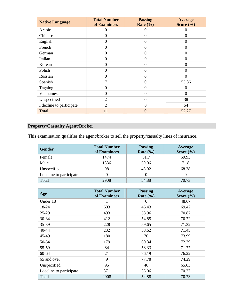| <b>Native Language</b>   | <b>Total Number</b><br>of Examinees | <b>Passing</b><br>Rate $(\% )$ | <b>Average</b><br>Score $(\% )$ |
|--------------------------|-------------------------------------|--------------------------------|---------------------------------|
| Arabic                   | $\theta$                            | 0                              | 0                               |
| Chinese                  | $\theta$                            | $\Omega$                       | $\theta$                        |
| English                  | $\overline{0}$                      | $\theta$                       | $\overline{0}$                  |
| French                   | $\theta$                            | $\Omega$                       | $\overline{0}$                  |
| German                   | $\overline{0}$                      | $\Omega$                       | $\overline{0}$                  |
| Italian                  | $\theta$                            | $\Omega$                       | $\overline{0}$                  |
| Korean                   | $\theta$                            | 0                              | $\theta$                        |
| Polish                   | $\overline{0}$                      | $\overline{0}$                 | $\overline{0}$                  |
| Russian                  | $\theta$                            | $\Omega$                       | $\overline{0}$                  |
| Spanish                  | 7                                   | $\Omega$                       | 55.86                           |
| Tagalog                  | $\theta$                            | $\Omega$                       | 0                               |
| Vietnamese               | $\overline{0}$                      | $\Omega$                       | $\Omega$                        |
| Unspecified              | $\overline{2}$                      | $\Omega$                       | 38                              |
| I decline to participate | $\overline{2}$                      | $\Omega$                       | 54                              |
| Total                    | 11                                  | $\left( \right)$               | 52.27                           |

# **Property/Casualty Agent/Broker**

This examination qualifies the agent/broker to sell the property/casualty lines of insurance.

| Gender                   | <b>Total Number</b><br>of Examinees | <b>Passing</b><br>Rate $(\% )$ | Average<br>Score $(\% )$ |
|--------------------------|-------------------------------------|--------------------------------|--------------------------|
| Female                   | 1474                                | 51.7                           | 69.93                    |
| Male                     | 1336                                | 59.06                          | 71.8                     |
| Unspecified              | 98                                  | 45.92                          | 68.38                    |
| I decline to participate |                                     |                                |                          |
| Total                    | 2908                                | 54.88                          | 70.73                    |

| Age                      | <b>Total Number</b><br>of Examinees | <b>Passing</b><br>Rate $(\% )$ | Average<br>Score $(\% )$ |
|--------------------------|-------------------------------------|--------------------------------|--------------------------|
| Under 18                 |                                     | $\Omega$                       | 48.67                    |
| 18-24                    | 603                                 | 46.43                          | 69.42                    |
| $25-29$                  | 493                                 | 53.96                          | 70.87                    |
| 30-34                    | 412                                 | 54.85                          | 70.72                    |
| 35-39                    | 228                                 | 59.65                          | 71.32                    |
| 40-44                    | 232                                 | 58.62                          | 71.45                    |
| 45-49                    | 180                                 | 70                             | 73.99                    |
| 50-54                    | 179                                 | 60.34                          | 72.39                    |
| 55-59                    | 84                                  | 58.33                          | 71.77                    |
| 60-64                    | 21                                  | 76.19                          | 76.22                    |
| 65 and over              | 9                                   | 77.78                          | 74.29                    |
| Unspecified              | 95                                  | 40                             | 65.63                    |
| I decline to participate | 371                                 | 56.06                          | 70.27                    |
| Total                    | 2908                                | 54.88                          | 70.73                    |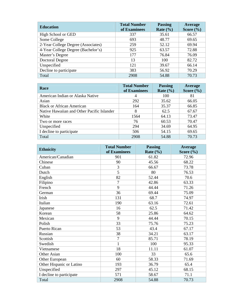| <b>Education</b>                   | <b>Total Number</b><br>of Examinees | <b>Passing</b><br>Rate $(\% )$ | Average<br>Score $(\% )$ |
|------------------------------------|-------------------------------------|--------------------------------|--------------------------|
| High School or GED                 | 337                                 | 35.61                          | 66.57                    |
| Some College                       | 693                                 | 48.77                          | 69.65                    |
| 2-Year College Degree (Associates) | 259                                 | 52.12                          | 69.94                    |
| 4-Year College Degree (Bachelor's) | 925                                 | 63.57                          | 72.88                    |
| Master's Degree                    | 177                                 | 76.84                          | 76.09                    |
| Doctoral Degree                    | 13                                  | 100                            | 82.72                    |
| Unspecified                        | 121                                 | 39.67                          | 66.14                    |
| Decline to participate             | 383                                 | 56.92                          | 70.29                    |
| Total                              | 2908                                | 54.88                          | 70.73                    |

| <b>Race</b>                                | <b>Total Number</b><br>of Examinees | <b>Passing</b><br>Rate $(\% )$ | Average<br>Score $(\% )$ |
|--------------------------------------------|-------------------------------------|--------------------------------|--------------------------|
| American Indian or Alaska Native           | 4                                   | 100                            | 81                       |
| Asian                                      | 292                                 | 35.62                          | 66.05                    |
| <b>Black or African American</b>           | 164                                 | 35.37                          | 66.85                    |
| Native Hawaiian and Other Pacific Islander | 8                                   | 62.5                           | 67.67                    |
| White                                      | 1564                                | 64.13                          | 73.47                    |
| Two or more races                          | 76                                  | 60.53                          | 70.47                    |
| Unspecified                                | 294                                 | 34.69                          | 64.95                    |
| I decline to participate                   | 506                                 | 54.15                          | 69.65                    |
| Total                                      | 2908                                | 54.88                          | 70.73                    |

| <b>Ethnicity</b>         | <b>Total Number</b><br>of Examinees | <b>Passing</b><br>Rate $(\% )$ | Average<br>Score $(\% )$ |
|--------------------------|-------------------------------------|--------------------------------|--------------------------|
| American/Canadian        | 901                                 | 61.82                          | 72.96                    |
| Chinese                  | 90                                  | 45.56                          | 68.22                    |
| Cuban                    | 3                                   | 66.67                          | 73.78                    |
|                          | 5                                   |                                |                          |
| Dutch                    |                                     | 80                             | 76.53                    |
| English                  | 82                                  | 52.44                          | 70.6                     |
| Filipino                 | $\overline{7}$                      | 42.86                          | 63.33                    |
| French                   | 9                                   | 44.44                          | 71.26                    |
| German                   | 36                                  | 69.44                          | 75.09                    |
| Irish                    | 131                                 | 68.7                           | 74.97                    |
| Italian                  | 190                                 | 63.16                          | 72.61                    |
| Japanese                 | 16                                  | 62.5                           | 71.42                    |
| Korean                   | 58                                  | 25.86                          | 64.62                    |
| Mexican                  | 9                                   | 44.44                          | 70.15                    |
| Polish                   | 33                                  | 75.76                          | 75.23                    |
| Puerto Rican             | 53                                  | 43.4                           | 67.17                    |
| Russian                  | 38                                  | 34.21                          | 63.17                    |
| Scottish                 | $\overline{7}$                      | 85.71                          | 78.19                    |
| Swedish                  | 1                                   | 100                            | 95.33                    |
| Vietnamese               | 18                                  | 11.11                          | 61.07                    |
| Other Asian              | 100                                 | 33                             | 65.6                     |
| Other European           | 60                                  | 58.33                          | 71.69                    |
| Other Hispanic or Latino | 193                                 | 36.79                          | 65.4                     |
| Unspecified              | 297                                 | 45.12                          | 68.15                    |
| I decline to participate | 571                                 | 58.67                          | 71.1                     |
| Total                    | 2908                                | 54.88                          | 70.73                    |